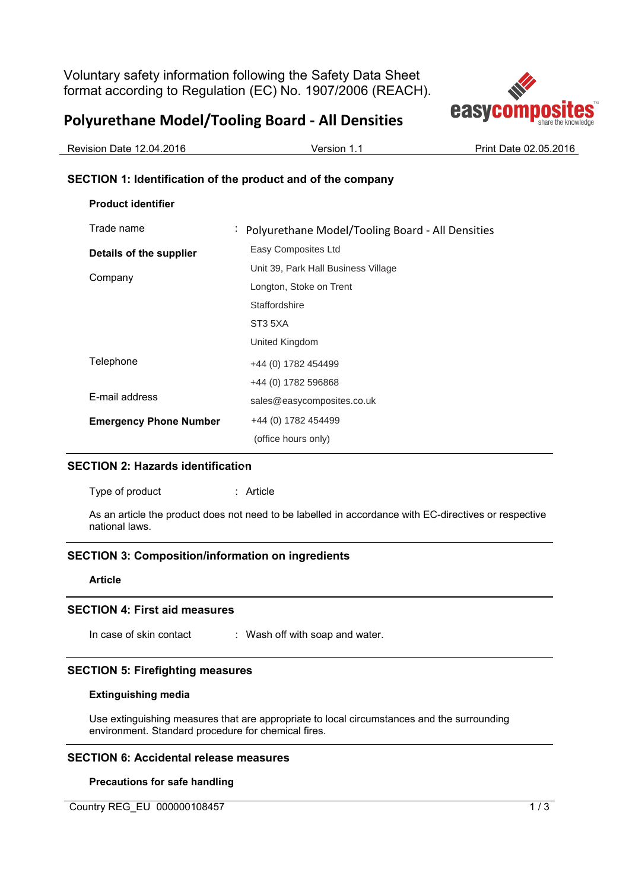Voluntary safety information following the Safety Data Sheet format according to Regulation (EC) No. 1907/2006 (REACH).

# **Polyurethane Model/Tooling Board - All Densities**



| Revision Date 12.04.2016 | Version 1. | Print Date 02.05.2016 |
|--------------------------|------------|-----------------------|
|                          |            |                       |

## **SECTION 1: Identification of the product and of the company**

| <b>Product identifier</b>     |                                                    |
|-------------------------------|----------------------------------------------------|
| Trade name                    | : Polyurethane Model/Tooling Board - All Densities |
| Details of the supplier       | Easy Composites Ltd                                |
| Company                       | Unit 39, Park Hall Business Village                |
|                               | Longton, Stoke on Trent                            |
|                               | Staffordshire                                      |
|                               | ST3 5XA                                            |
|                               | United Kingdom                                     |
| Telephone                     | +44 (0) 1782 454499                                |
|                               | +44 (0) 1782 596868                                |
| E-mail address                | sales@easycomposites.co.uk                         |
| <b>Emergency Phone Number</b> | +44 (0) 1782 454499                                |
|                               | (office hours only)                                |

## **SECTION 2: Hazards identification**

Type of product : Article

As an article the product does not need to be labelled in accordance with EC-directives or respective national laws.

## **SECTION 3: Composition/information on ingredients**

#### **Article**

#### **SECTION 4: First aid measures**

In case of skin contact : Wash off with soap and water.

#### **SECTION 5: Firefighting measures**

#### **Extinguishing media**

Use extinguishing measures that are appropriate to local circumstances and the surrounding environment. Standard procedure for chemical fires.

#### **SECTION 6: Accidental release measures**

#### **Precautions for safe handling**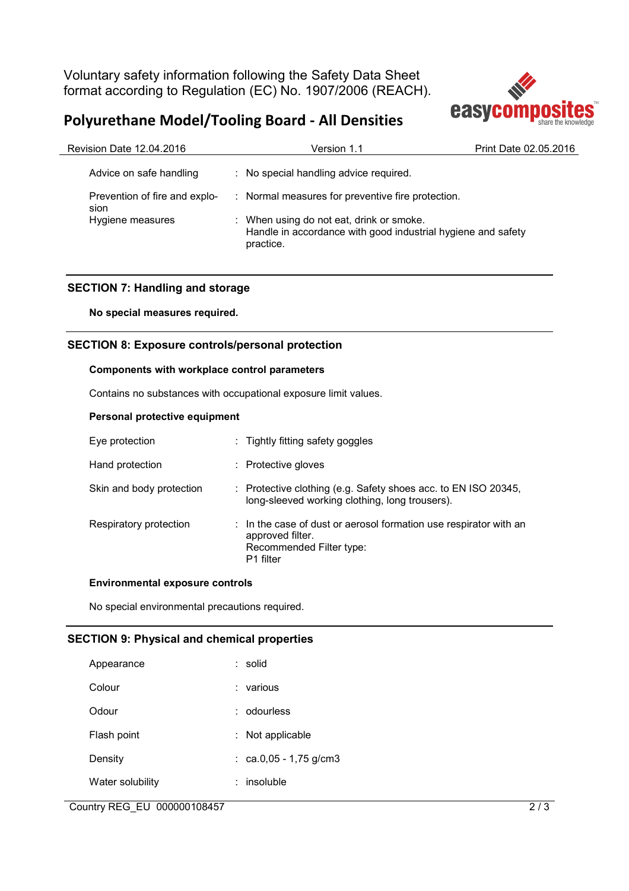Voluntary safety information following the Safety Data Sheet format according to Regulation (EC) No. 1907/2006 (REACH).





| Revision Date 12.04.2016              | Version 1.1                                                                                                           | Print Date 02.05.2016 |
|---------------------------------------|-----------------------------------------------------------------------------------------------------------------------|-----------------------|
| Advice on safe handling               | : No special handling advice required.                                                                                |                       |
| Prevention of fire and explo-<br>sion | : Normal measures for preventive fire protection.                                                                     |                       |
| Hygiene measures                      | : When using do not eat, drink or smoke.<br>Handle in accordance with good industrial hygiene and safety<br>practice. |                       |

## **SECTION 7: Handling and storage**

**No special measures required.** 

## **SECTION 8: Exposure controls/personal protection**

### **Components with workplace control parameters**

Contains no substances with occupational exposure limit values.

### **Personal protective equipment**

| Eye protection           | : Tightly fitting safety goggles                                                                                               |
|--------------------------|--------------------------------------------------------------------------------------------------------------------------------|
| Hand protection          | : Protective gloves                                                                                                            |
| Skin and body protection | : Protective clothing (e.g. Safety shoes acc. to EN ISO 20345,<br>long-sleeved working clothing, long trousers).               |
| Respiratory protection   | : In the case of dust or aerosol formation use respirator with an<br>approved filter.<br>Recommended Filter type:<br>P1 filter |

#### **Environmental exposure controls**

No special environmental precautions required.

#### **SECTION 9: Physical and chemical properties**

| Appearance       | : solid              |
|------------------|----------------------|
| Colour           | various              |
| Odour            | odourless            |
| Flash point      | Not applicable       |
| Density          | ca.0,05 - 1,75 g/cm3 |
| Water solubility | insoluble            |